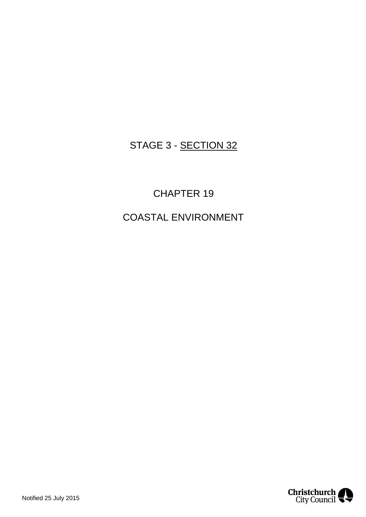# STAGE 3 - SECTION 32

# CHAPTER 19

# COASTAL ENVIRONMENT

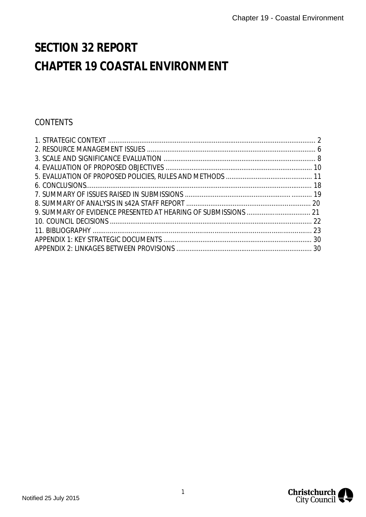# **SECTION 32 REPORT CHAPTER 19 COASTAL ENVIRONMENT**

# **CONTENTS**

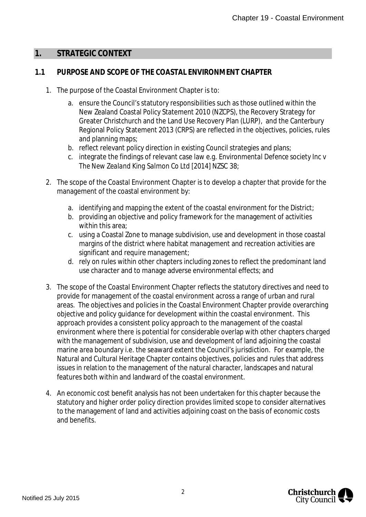#### <span id="page-2-0"></span>**1. STRATEGIC CONTEXT**

#### **1.1 PURPOSE AND SCOPE OF THE COASTAL ENVIRONMENT CHAPTER**

- 1. The purpose of the Coastal Environment Chapter is to:
	- a. ensure the Council's statutory responsibilities such as those outlined within the New Zealand Coastal Policy Statement 2010 (NZCPS), the Recovery Strategy for Greater Christchurch and the Land Use Recovery Plan (LURP), and the Canterbury Regional Policy Statement 2013 (CRPS) are reflected in the objectives, policies, rules and planning maps;
	- b. reflect relevant policy direction in existing Council strategies and plans;
	- c. integrate the findings of relevant case law e.g. *Environmental Defence society Inc v The New Zealand King Salmon Co Ltd* [2014] NZSC 38;
- 2. The scope of the Coastal Environment Chapter is to develop a chapter that provide for the management of the coastal environment by:
	- a. identifying and mapping the extent of the coastal environment for the District;
	- b. providing an objective and policy framework for the management of activities within this area:
	- c. using a Coastal Zone to manage subdivision, use and development in those coastal margins of the district where habitat management and recreation activities are significant and require management;
	- d. rely on rules within other chapters including zones to reflect the predominant land use character and to manage adverse environmental effects; and
- 3. The scope of the Coastal Environment Chapter reflects the statutory directives and need to provide for management of the coastal environment across a range of urban and rural areas. The objectives and policies in the Coastal Environment Chapter provide overarching objective and policy guidance for development within the coastal environment. This approach provides a consistent policy approach to the management of the coastal environment where there is potential for considerable overlap with other chapters charged with the management of subdivision, use and development of land adjoining the coastal marine area boundary i.e. the seaward extent the Council's jurisdiction. For example, the Natural and Cultural Heritage Chapter contains objectives, policies and rules that address issues in relation to the management of the natural character, landscapes and natural features both within and landward of the coastal environment.
- 4. An economic cost benefit analysis has not been undertaken for this chapter because the statutory and higher order policy direction provides limited scope to consider alternatives to the management of land and activities adjoining coast on the basis of economic costs and benefits.

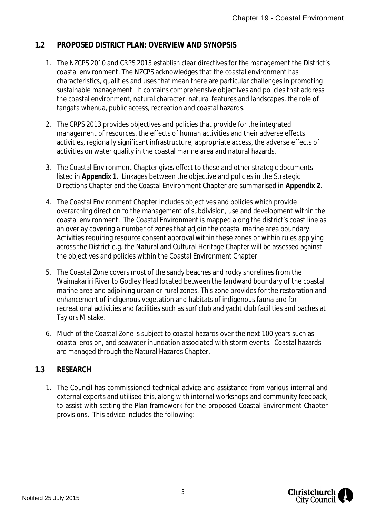## **1.2 PROPOSED DISTRICT PLAN: OVERVIEW AND SYNOPSIS**

- 1. The NZCPS 2010 and CRPS 2013 establish clear directives for the management the District's coastal environment. The NZCPS acknowledges that the coastal environment has characteristics, qualities and uses that mean there are particular challenges in promoting sustainable management. It contains comprehensive objectives and policies that address the coastal environment, natural character, natural features and landscapes, the role of tangata whenua, public access, recreation and coastal hazards.
- 2. The CRPS 2013 provides objectives and policies that provide for the integrated management of resources, the effects of human activities and their adverse effects activities, regionally significant infrastructure, appropriate access, the adverse effects of activities on water quality in the coastal marine area and natural hazards.
- 3. The Coastal Environment Chapter gives effect to these and other strategic documents listed in **Appendix 1.** Linkages between the objective and policies in the Strategic Directions Chapter and the Coastal Environment Chapter are summarised in **Appendix 2**.
- 4. The Coastal Environment Chapter includes objectives and policies which provide overarching direction to the management of subdivision, use and development within the coastal environment. The Coastal Environment is mapped along the district's coast line as an overlay covering a number of zones that adjoin the coastal marine area boundary. Activities requiring resource consent approval within these zones or within rules applying across the District e.g. the Natural and Cultural Heritage Chapter will be assessed against the objectives and policies within the Coastal Environment Chapter.
- 5. The Coastal Zone covers most of the sandy beaches and rocky shorelines from the Waimakariri River to Godley Head located between the landward boundary of the coastal marine area and adjoining urban or rural zones. This zone provides for the restoration and enhancement of indigenous vegetation and habitats of indigenous fauna and for recreational activities and facilities such as surf club and yacht club facilities and baches at Taylors Mistake.
- 6. Much of the Coastal Zone is subject to coastal hazards over the next 100 years such as coastal erosion, and seawater inundation associated with storm events. Coastal hazards are managed through the Natural Hazards Chapter.

#### **1.3 RESEARCH**

1. The Council has commissioned technical advice and assistance from various internal and external experts and utilised this, along with internal workshops and community feedback, to assist with setting the Plan framework for the proposed Coastal Environment Chapter provisions. This advice includes the following:

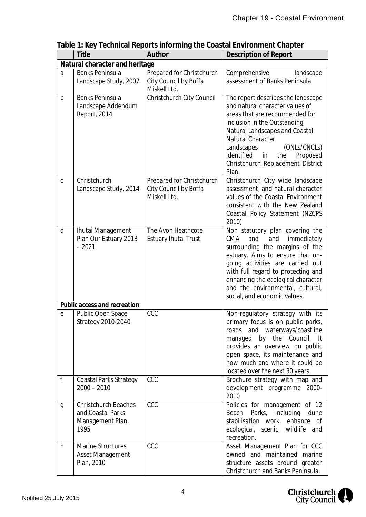|              | Title                                                                        | Author                                                             | Description of Report                                                                                                                                                                                                                                                                                                          |  |  |  |  |
|--------------|------------------------------------------------------------------------------|--------------------------------------------------------------------|--------------------------------------------------------------------------------------------------------------------------------------------------------------------------------------------------------------------------------------------------------------------------------------------------------------------------------|--|--|--|--|
|              | Natural character and heritage                                               |                                                                    |                                                                                                                                                                                                                                                                                                                                |  |  |  |  |
| a            | <b>Banks Peninsula</b><br>Landscape Study, 2007                              | Prepared for Christchurch<br>City Council by Boffa<br>Miskell Ltd. | Comprehensive<br>landscape<br>assessment of Banks Peninsula                                                                                                                                                                                                                                                                    |  |  |  |  |
| $\mathsf{b}$ | <b>Banks Peninsula</b><br>Landscape Addendum<br>Report, 2014                 | Christchurch City Council                                          | The report describes the landscape<br>and natural character values of<br>areas that are recommended for<br>inclusion in the Outstanding<br>Natural Landscapes and Coastal<br>Natural Character<br>Landscapes<br>(ONLs/CNCLs)<br>identified<br>the<br>Proposed<br>in<br>Christchurch Replacement District<br>Plan.              |  |  |  |  |
| $\mathsf C$  | Christchurch<br>Landscape Study, 2014                                        | Prepared for Christchurch<br>City Council by Boffa<br>Miskell Ltd. | Christchurch City wide landscape<br>assessment, and natural character<br>values of the Coastal Environment<br>consistent with the New Zealand<br>Coastal Policy Statement (NZCPS<br>2010)                                                                                                                                      |  |  |  |  |
| d            | Ihutai Management<br>Plan Our Estuary 2013<br>$-2021$                        | The Avon Heathcote<br>Estuary Ihutai Trust.                        | Non statutory plan covering the<br>CMA<br>and<br>land<br>immediately<br>surrounding the margins of the<br>estuary. Aims to ensure that on-<br>going activities are carried out<br>with full regard to protecting and<br>enhancing the ecological character<br>and the environmental, cultural,<br>social, and economic values. |  |  |  |  |
|              | Public access and recreation                                                 |                                                                    |                                                                                                                                                                                                                                                                                                                                |  |  |  |  |
| e            | Public Open Space<br>Strategy 2010-2040                                      | CCC                                                                | Non-regulatory strategy with its<br>primary focus is on public parks,<br>roads and waterways/coastline<br>managed by the Council.<br>– It<br>provides an overview on public<br>open space, its maintenance and<br>how much and where it could be<br>located over the next 30 years.                                            |  |  |  |  |
| f            | <b>Coastal Parks Strategy</b><br>$2000 - 2010$                               | CCC                                                                | Brochure strategy with map and<br>development programme 2000-<br>2010                                                                                                                                                                                                                                                          |  |  |  |  |
| g            | <b>Christchurch Beaches</b><br>and Coastal Parks<br>Management Plan,<br>1995 | CCC                                                                | Policies for management of 12<br>Beach Parks, including<br>dune<br>stabilisation work, enhance of<br>ecological, scenic, wildlife and<br>recreation.                                                                                                                                                                           |  |  |  |  |
| h            | <b>Marine Structures</b><br>Asset Management<br>Plan, 2010                   | CCC                                                                | Asset Management Plan for CCC<br>owned and maintained<br>marine<br>structure assets around greater<br>Christchurch and Banks Peninsula.                                                                                                                                                                                        |  |  |  |  |

**Table 1: Key Technical Reports informing the Coastal Environment Chapter**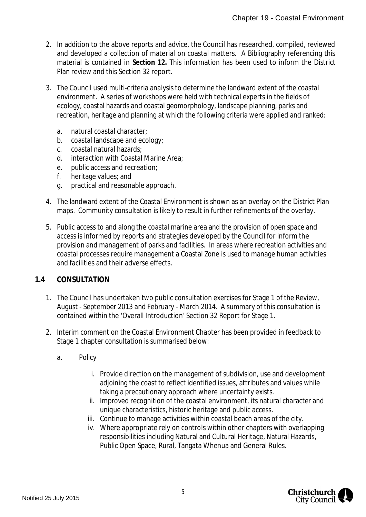- 2. In addition to the above reports and advice, the Council has researched, compiled, reviewed and developed a collection of material on coastal matters. A Bibliography referencing this material is contained in **Section 12.** This information has been used to inform the District Plan review and this Section 32 report.
- 3. The Council used multi-criteria analysis to determine the landward extent of the coastal environment. A series of workshops were held with technical experts in the fields of ecology, coastal hazards and coastal geomorphology, landscape planning, parks and recreation, heritage and planning at which the following criteria were applied and ranked:
	- a. natural coastal character;
	- b. coastal landscape and ecology;
	- c. coastal natural hazards;
	- d. interaction with Coastal Marine Area;
	- e. public access and recreation;
	- f. heritage values; and
	- g. practical and reasonable approach.
- 4. The landward extent of the Coastal Environment is shown as an overlay on the District Plan maps. Community consultation is likely to result in further refinements of the overlay.
- 5. Public access to and along the coastal marine area and the provision of open space and access is informed by reports and strategies developed by the Council for inform the provision and management of parks and facilities. In areas where recreation activities and coastal processes require management a Coastal Zone is used to manage human activities and facilities and their adverse effects.

## **1.4 CONSULTATION**

- 1. The Council has undertaken two public consultation exercises for Stage 1 of the Review, August - September 2013 and February - March 2014. A summary of this consultation is contained within the 'Overall Introduction' Section 32 Report for Stage 1.
- 2. Interim comment on the Coastal Environment Chapter has been provided in feedback to Stage 1 chapter consultation is summarised below:
	- a. Policy
		- i. Provide direction on the management of subdivision, use and development adjoining the coast to reflect identified issues, attributes and values while taking a precautionary approach where uncertainty exists.
		- ii. Improved recognition of the coastal environment, its natural character and unique characteristics, historic heritage and public access.
		- iii. Continue to manage activities within coastal beach areas of the city.
		- iv. Where appropriate rely on controls within other chapters with overlapping responsibilities including Natural and Cultural Heritage, Natural Hazards, Public Open Space, Rural, Tangata Whenua and General Rules.

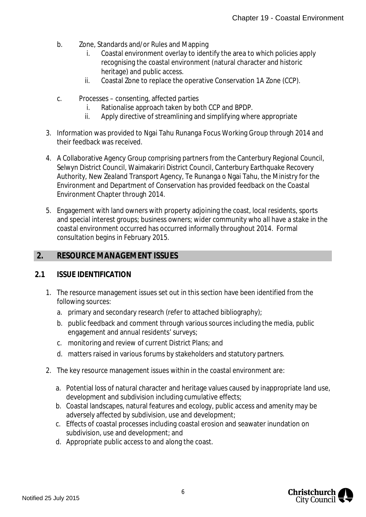- b. Zone, Standards and/or Rules and Mapping
	- i. Coastal environment overlay to identify the area to which policies apply recognising the coastal environment (natural character and historic heritage) and public access.
	- ii. Coastal Zone to replace the operative Conservation 1A Zone (CCP).
- c. Processes consenting, affected parties
	- i. Rationalise approach taken by both CCP and BPDP.
	- ii. Apply directive of streamlining and simplifying where appropriate
- 3. Information was provided to Ngai Tahu Runanga Focus Working Group through 2014 and their feedback was received.
- 4. A Collaborative Agency Group comprising partners from the Canterbury Regional Council, Selwyn District Council, Waimakariri District Council, Canterbury Earthquake Recovery Authority, New Zealand Transport Agency, Te Runanga o Ngai Tahu, the Ministry for the Environment and Department of Conservation has provided feedback on the Coastal Environment Chapter through 2014.
- 5. Engagement with land owners with property adjoining the coast, local residents, sports and special interest groups; business owners; wider community who all have a stake in the coastal environment occurred has occurred informally throughout 2014. Formal consultation begins in February 2015.

# <span id="page-6-0"></span> **2. RESOURCE MANAGEMENT ISSUES**

#### **2.1 ISSUE IDENTIFICATION**

- 1. The resource management issues set out in this section have been identified from the following sources:
	- a. primary and secondary research (refer to attached bibliography);
	- b. public feedback and comment through various sources including the media, public engagement and annual residents' surveys;
	- c. monitoring and review of current District Plans; and
	- d. matters raised in various forums by stakeholders and statutory partners.
- 2. The key resource management issues within in the coastal environment are:
	- a. Potential loss of natural character and heritage values caused by inappropriate land use, development and subdivision including cumulative effects;
	- b. Coastal landscapes, natural features and ecology, public access and amenity may be adversely affected by subdivision, use and development;
	- c. Effects of coastal processes including coastal erosion and seawater inundation on subdivision, use and development; and
	- d. Appropriate public access to and along the coast.

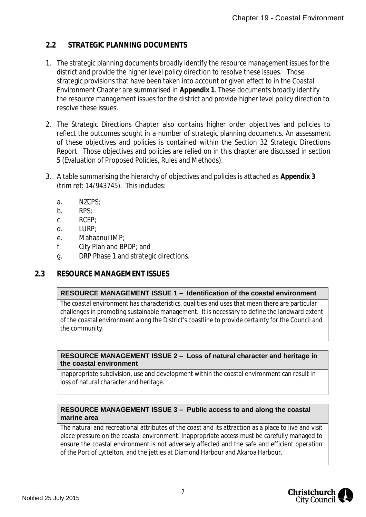# **2.2 STRATEGIC PLANNING DOCUMENTS**

- 1. The strategic planning documents broadly identify the resource management issues for the district and provide the higher level policy direction to resolve these issues. Those strategic provisions that have been taken into account or given effect to in the Coastal Environment Chapter are summarised in **Appendix 1**. These documents broadly identify the resource management issues for the district and provide higher level policy direction to resolve these issues.
- 2. The Strategic Directions Chapter also contains higher order objectives and policies to reflect the outcomes sought in a number of strategic planning documents. An assessment of these objectives and policies is contained within the Section 32 Strategic Directions Report. Those objectives and policies are relied on in this chapter are discussed in section 5 (Evaluation of Proposed Policies, Rules and Methods).
- 3. A table summarising the hierarchy of objectives and policies is attached as **Appendix 3** (trim ref: 14/943745). This includes:
	- a. NZCPS;
	- b. RPS;
	- c. RCEP;
	- d. LURP;
	- e. Mahaanui IMP;
	- f. City Plan and BPDP; and
	- g. DRP Phase 1 and strategic directions.

## **2.3 RESOURCE MANAGEMENT ISSUES**

#### **RESOURCE MANAGEMENT ISSUE 1 – Identification of the coastal environment**

The coastal environment has characteristics, qualities and uses that mean there are particular challenges in promoting sustainable management. It is necessary to define the landward extent of the coastal environment along the District's coastline to provide certainty for the Council and the community.

#### **RESOURCE MANAGEMENT ISSUE 2 – Loss of natural character and heritage in the coastal environment**

Inappropriate subdivision, use and development within the coastal environment can result in loss of natural character and heritage.

#### **RESOURCE MANAGEMENT ISSUE 3 – Public access to and along the coastal marine area**

The natural and recreational attributes of the coast and its attraction as a place to live and visit place pressure on the coastal environment. Inappropriate access must be carefully managed to ensure the coastal environment is not adversely affected and the safe and efficient operation of the Port of Lyttelton, and the jetties at Diamond Harbour and Akaroa Harbour.

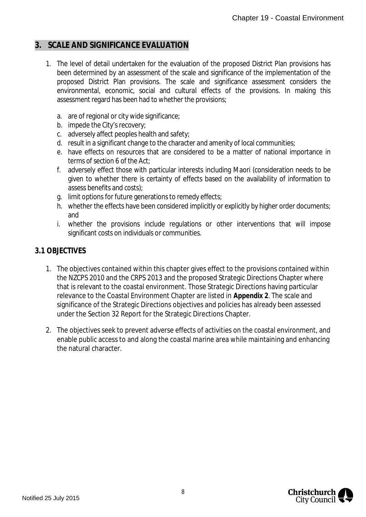# <span id="page-8-0"></span>**3. SCALE AND SIGNIFICANCE EVALUATION**

- 1. The level of detail undertaken for the evaluation of the proposed District Plan provisions has been determined by an assessment of the scale and significance of the implementation of the proposed District Plan provisions. The scale and significance assessment considers the environmental, economic, social and cultural effects of the provisions. In making this assessment regard has been had to whether the provisions;
	- a. are of regional or city wide significance;
	- b. impede the City's recovery;
	- c. adversely affect peoples health and safety;
	- d. result in a significant change to the character and amenity of local communities;
	- e. have effects on resources that are considered to be a matter of national importance in terms of section 6 of the Act;
	- f. adversely effect those with particular interests including Maori (consideration needs to be given to whether there is certainty of effects based on the availability of information to assess benefits and costs);
	- g. limit options for future generations to remedy effects;
	- h. whether the effects have been considered implicitly or explicitly by higher order documents; and
	- i. whether the provisions include regulations or other interventions that will impose significant costs on individuals or communities.

## **3.1 OBJECTIVES**

- 1. The objectives contained within this chapter gives effect to the provisions contained within the NZCPS 2010 and the CRPS 2013 and the proposed Strategic Directions Chapter where that is relevant to the coastal environment. Those Strategic Directions having particular relevance to the Coastal Environment Chapter are listed in **Appendix 2**. The scale and significance of the Strategic Directions objectives and policies has already been assessed under the Section 32 Report for the Strategic Directions Chapter.
- 2. The objectives seek to prevent adverse effects of activities on the coastal environment, and enable public access to and along the coastal marine area while maintaining and enhancing the natural character.

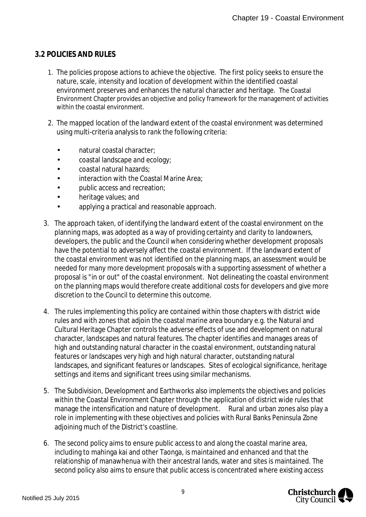## **3.2 POLICIES AND RULES**

- 1. The policies propose actions to achieve the objective. The first policy seeks to ensure the nature, scale, intensity and location of development within the identified coastal environment preserves and enhances the natural character and heritage. The Coastal Environment Chapter provides an objective and policy framework for the management of activities within the coastal environment.
- 2. The mapped location of the landward extent of the coastal environment was determined using multi-criteria analysis to rank the following criteria:
	- natural coastal character;
	- coastal landscape and ecology;
	- coastal natural hazards;
	- interaction with the Coastal Marine Area;
	- public access and recreation;
	- heritage values; and
	- applying a practical and reasonable approach.
- 3. The approach taken, of identifying the landward extent of the coastal environment on the planning maps, was adopted as a way of providing certainty and clarity to landowners, developers, the public and the Council when considering whether development proposals have the potential to adversely affect the coastal environment. If the landward extent of the coastal environment was not identified on the planning maps, an assessment would be needed for many more development proposals with a supporting assessment of whether a proposal is "in or out" of the coastal environment. Not delineating the coastal environment on the planning maps would therefore create additional costs for developers and give more discretion to the Council to determine this outcome.
- 4. The rules implementing this policy are contained within those chapters with district wide rules and with zones that adjoin the coastal marine area boundary e.g. the Natural and Cultural Heritage Chapter controls the adverse effects of use and development on natural character, landscapes and natural features. The chapter identifies and manages areas of high and outstanding natural character in the coastal environment, outstanding natural features or landscapes very high and high natural character, outstanding natural landscapes, and significant features or landscapes. Sites of ecological significance, heritage settings and items and significant trees using similar mechanisms.
- 5. The Subdivision, Development and Earthworks also implements the objectives and policies within the Coastal Environment Chapter through the application of district wide rules that manage the intensification and nature of development. Rural and urban zones also play a role in implementing with these objectives and policies with Rural Banks Peninsula Zone adjoining much of the District's coastline.
- 6. The second policy aims to ensure public access to and along the coastal marine area, including to mahinga kai and other Taonga, is maintained and enhanced and that the relationship of manawhenua with their ancestral lands, water and sites is maintained. The second policy also aims to ensure that public access is concentrated where existing access

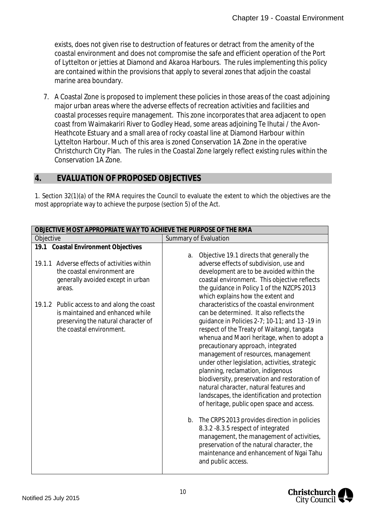exists, does not given rise to destruction of features or detract from the amenity of the coastal environment and does not compromise the safe and efficient operation of the Port of Lyttelton or jetties at Diamond and Akaroa Harbours. The rules implementing this policy are contained within the provisions that apply to several zones that adjoin the coastal marine area boundary.

7. A Coastal Zone is proposed to implement these policies in those areas of the coast adjoining major urban areas where the adverse effects of recreation activities and facilities and coastal processes require management. This zone incorporates that area adjacent to open coast from Waimakariri River to Godley Head, some areas adjoining Te Ihutai / the Avon-Heathcote Estuary and a small area of rocky coastal line at Diamond Harbour within Lyttelton Harbour. Much of this area is zoned Conservation 1A Zone in the operative Christchurch City Plan. The rules in the Coastal Zone largely reflect existing rules within the Conservation 1A Zone.

#### <span id="page-10-0"></span>**4. EVALUATION OF PROPOSED OBJECTIVES**

1. Section 32(1)(a) of the RMA requires the Council to evaluate the extent to which the objectives are the most appropriate way to achieve the purpose (section 5) of the Act.

| OBJECTIVE MOST APPROPRIATE WAY TO ACHIEVE THE PURPOSE OF THE RMA                                                                                   |                                                                                                                                                                                                                                                                                                                                                                                                                                                                                                                                                                                                       |  |  |  |
|----------------------------------------------------------------------------------------------------------------------------------------------------|-------------------------------------------------------------------------------------------------------------------------------------------------------------------------------------------------------------------------------------------------------------------------------------------------------------------------------------------------------------------------------------------------------------------------------------------------------------------------------------------------------------------------------------------------------------------------------------------------------|--|--|--|
| Objective                                                                                                                                          | <b>Summary of Evaluation</b>                                                                                                                                                                                                                                                                                                                                                                                                                                                                                                                                                                          |  |  |  |
| 19.1 Coastal Environment Objectives                                                                                                                |                                                                                                                                                                                                                                                                                                                                                                                                                                                                                                                                                                                                       |  |  |  |
| 19.1.1 Adverse effects of activities within<br>the coastal environment are<br>generally avoided except in urban<br>areas.                          | Objective 19.1 directs that generally the<br>a.<br>adverse effects of subdivision, use and<br>development are to be avoided within the<br>coastal environment. This objective reflects<br>the guidance in Policy 1 of the NZCPS 2013<br>which explains how the extent and                                                                                                                                                                                                                                                                                                                             |  |  |  |
| 19.1.2 Public access to and along the coast<br>is maintained and enhanced while<br>preserving the natural character of<br>the coastal environment. | characteristics of the coastal environment<br>can be determined. It also reflects the<br>quidance in Policies $2-7$ ; 10-11; and 13 -19 in<br>respect of the Treaty of Waitangi, tangata<br>whenua and Maori heritage, when to adopt a<br>precautionary approach, integrated<br>management of resources, management<br>under other legislation, activities, strategic<br>planning, reclamation, indigenous<br>biodiversity, preservation and restoration of<br>natural character, natural features and<br>landscapes, the identification and protection<br>of heritage, public open space and access. |  |  |  |
|                                                                                                                                                    | b. The CRPS 2013 provides direction in policies<br>8.3.2 - 8.3.5 respect of integrated<br>management, the management of activities,<br>preservation of the natural character, the<br>maintenance and enhancement of Ngai Tahu<br>and public access.                                                                                                                                                                                                                                                                                                                                                   |  |  |  |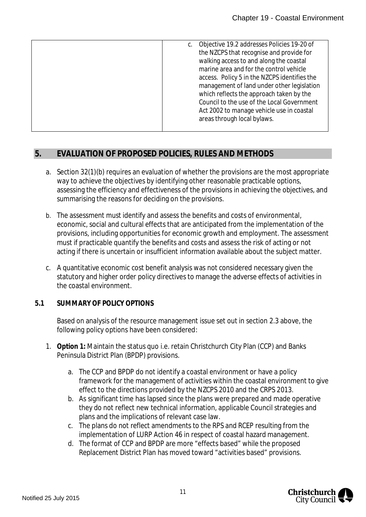# <span id="page-11-0"></span>**5. EVALUATION OF PROPOSED POLICIES, RULES AND METHODS**

- a. Section 32(1)(b) requires an evaluation of whether the provisions are the most appropriate way to achieve the objectives by identifying other reasonable practicable options, assessing the efficiency and effectiveness of the provisions in achieving the objectives, and summarising the reasons for deciding on the provisions.
- b. The assessment must identify and assess the benefits and costs of environmental, economic, social and cultural effects that are anticipated from the implementation of the provisions, including opportunities for economic growth and employment. The assessment must if practicable quantify the benefits and costs and assess the risk of acting or not acting if there is uncertain or insufficient information available about the subject matter.
- c. A quantitative economic cost benefit analysis was not considered necessary given the statutory and higher order policy directives to manage the adverse effects of activities in the coastal environment.
- **5.1 SUMMARY OF POLICY OPTIONS**

Based on analysis of the resource management issue set out in section 2.3 above, the following policy options have been considered:

- 1. **Option 1:** Maintain the status quo i.e. retain Christchurch City Plan (CCP) and Banks Peninsula District Plan (BPDP) provisions.
	- a. The CCP and BPDP do not identify a coastal environment or have a policy framework for the management of activities within the coastal environment to give effect to the directions provided by the NZCPS 2010 and the CRPS 2013.
	- b. As significant time has lapsed since the plans were prepared and made operative they do not reflect new technical information, applicable Council strategies and plans and the implications of relevant case law.
	- c. The plans do not reflect amendments to the RPS and RCEP resulting from the implementation of LURP Action 46 in respect of coastal hazard management.
	- d. The format of CCP and BPDP are more "effects based" while the proposed Replacement District Plan has moved toward "activities based" provisions.

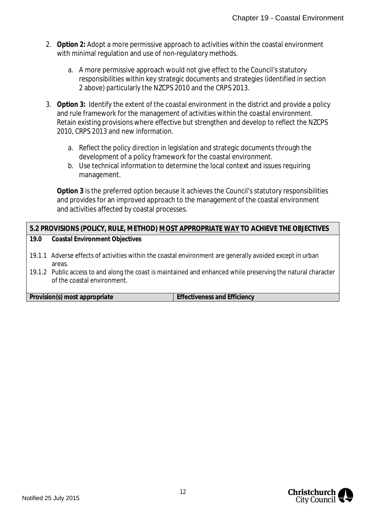- 2. **Option 2:** Adopt a more permissive approach to activities within the coastal environment with minimal regulation and use of non-regulatory methods.
	- a. A more permissive approach would not give effect to the Council's statutory responsibilities within key strategic documents and strategies (identified in section 2 above) particularly the NZCPS 2010 and the CRPS 2013.
- 3. **Option 3:** Identify the extent of the coastal environment in the district and provide a policy and rule framework for the management of activities within the coastal environment. Retain existing provisions where effective but strengthen and develop to reflect the NZCPS 2010, CRPS 2013 and new information.
	- a. Reflect the policy direction in legislation and strategic documents through the development of a policy framework for the coastal environment.
	- b. Use technical information to determine the local context and issues requiring management.

**Option 3** is the preferred option because it achieves the Council's statutory responsibilities and provides for an improved approach to the management of the coastal environment and activities affected by coastal processes.

#### **5.2 PROVISIONS (POLICY, RULE, METHOD) MOST APPROPRIATE WAY TO ACHIEVE THE OBJECTIVES 19.0 Coastal Environment Objectives**

- 19.1.1 Adverse effects of activities within the coastal environment are generally avoided except in urban areas.
- 19.1.2 Public access to and along the coast is maintained and enhanced while preserving the natural character of the coastal environment.

**Provision(s) most appropriate Effectiveness and Efficiency** 

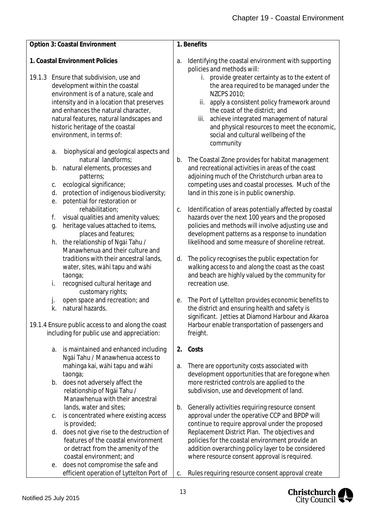| Option 3: Coastal Environment                                                                                                                                                                                                                                                                                        | 1. Benefits                                                                                                                                                                                                                                                                                                                                                  |
|----------------------------------------------------------------------------------------------------------------------------------------------------------------------------------------------------------------------------------------------------------------------------------------------------------------------|--------------------------------------------------------------------------------------------------------------------------------------------------------------------------------------------------------------------------------------------------------------------------------------------------------------------------------------------------------------|
|                                                                                                                                                                                                                                                                                                                      |                                                                                                                                                                                                                                                                                                                                                              |
| 1. Coastal Environment Policies                                                                                                                                                                                                                                                                                      | Identifying the coastal environment with supporting<br>a.<br>policies and methods will:                                                                                                                                                                                                                                                                      |
| 19.1.3 Ensure that subdivision, use and<br>development within the coastal<br>environment is of a nature, scale and<br>intensity and in a location that preserves<br>and enhances the natural character,<br>natural features, natural landscapes and<br>historic heritage of the coastal<br>environment, in terms of: | i. provide greater certainty as to the extent of<br>the area required to be managed under the<br>NZCPS 2010;<br>apply a consistent policy framework around<br>ii.<br>the coast of the district; and<br>achieve integrated management of natural<br>iii.<br>and physical resources to meet the economic,<br>social and cultural wellbeing of the<br>community |
| biophysical and geological aspects and<br>a.                                                                                                                                                                                                                                                                         |                                                                                                                                                                                                                                                                                                                                                              |
| natural landforms;<br>natural elements, processes and<br>b.<br>patterns;<br>ecological significance;<br>С.<br>protection of indigenous biodiversity;<br>d.<br>potential for restoration or                                                                                                                           | The Coastal Zone provides for habitat management<br>b.<br>and recreational activities in areas of the coast<br>adjoining much of the Christchurch urban area to<br>competing uses and coastal processes. Much of the<br>land in this zone is in public ownership.                                                                                            |
| е.<br>rehabilitation;<br>visual qualities and amenity values;<br>f.<br>heritage values attached to items,<br>g.<br>places and features;                                                                                                                                                                              | Identification of areas potentially affected by coastal<br>C.<br>hazards over the next 100 years and the proposed<br>policies and methods will involve adjusting use and<br>development patterns as a response to inundation                                                                                                                                 |
| the relationship of Ngai Tahu /<br>h.<br>Manawhenua and their culture and                                                                                                                                                                                                                                            | likelihood and some measure of shoreline retreat.                                                                                                                                                                                                                                                                                                            |
| traditions with their ancestral lands,<br>water, sites, wāhi tapu and wāhi<br>taonga;<br>recognised cultural heritage and<br>i.                                                                                                                                                                                      | The policy recognises the public expectation for<br>d.<br>walking access to and along the coast as the coast<br>and beach are highly valued by the community for<br>recreation use.                                                                                                                                                                          |
| customary rights;                                                                                                                                                                                                                                                                                                    |                                                                                                                                                                                                                                                                                                                                                              |
| open space and recreation; and<br>k.<br>natural hazards.                                                                                                                                                                                                                                                             | The Port of Lyttelton provides economic benefits to<br>е.<br>the district and ensuring health and safety is<br>significant. Jetties at Diamond Harbour and Akaroa                                                                                                                                                                                            |
| 19.1.4 Ensure public access to and along the coast<br>including for public use and appreciation:                                                                                                                                                                                                                     | Harbour enable transportation of passengers and<br>freight.                                                                                                                                                                                                                                                                                                  |
| is maintained and enhanced including<br>a.                                                                                                                                                                                                                                                                           | Costs<br>2.                                                                                                                                                                                                                                                                                                                                                  |
| Ngāi Tahu / Manawhenua access to<br>mahinga kai, wāhi tapu and wāhi<br>taonga;                                                                                                                                                                                                                                       | There are opportunity costs associated with<br>a.<br>development opportunities that are foregone when                                                                                                                                                                                                                                                        |
| does not adversely affect the<br>b.<br>relationship of Ngai Tahu /<br>Manawhenua with their ancestral                                                                                                                                                                                                                | more restricted controls are applied to the<br>subdivision, use and development of land.                                                                                                                                                                                                                                                                     |
| lands, water and sites;<br>is concentrated where existing access<br>С.<br>is provided;                                                                                                                                                                                                                               | Generally activities requiring resource consent<br>b.<br>approval under the operative CCP and BPDP will<br>continue to require approval under the proposed                                                                                                                                                                                                   |
| does not give rise to the destruction of<br>d.<br>features of the coastal environment<br>or detract from the amenity of the<br>coastal environment; and                                                                                                                                                              | Replacement District Plan. The objectives and<br>policies for the coastal environment provide an<br>addition overarching policy layer to be considered<br>where resource consent approval is required.                                                                                                                                                       |
| does not compromise the safe and<br>е.<br>efficient operation of Lyttelton Port of                                                                                                                                                                                                                                   | Rules requiring resource consent approval create<br>С.                                                                                                                                                                                                                                                                                                       |

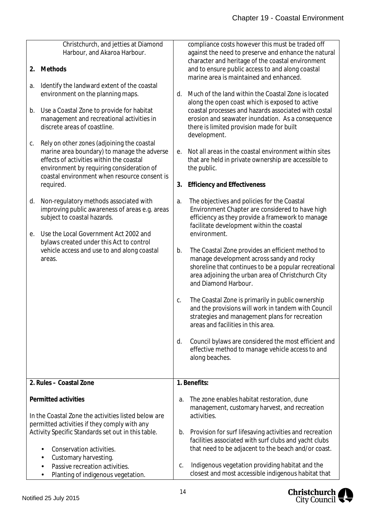| 2. | Christchurch, and jetties at Diamond<br>Harbour, and Akaroa Harbour.<br>Methods                                                                                                    |    | compliance costs however this must be traded off<br>against the need to preserve and enhance the natural<br>character and heritage of the coastal environment<br>and to ensure public access to and along coastal                    |
|----|------------------------------------------------------------------------------------------------------------------------------------------------------------------------------------|----|--------------------------------------------------------------------------------------------------------------------------------------------------------------------------------------------------------------------------------------|
| a. | Identify the landward extent of the coastal<br>environment on the planning maps.                                                                                                   | d. | marine area is maintained and enhanced.<br>Much of the land within the Coastal Zone is located<br>along the open coast which is exposed to active                                                                                    |
| b. | Use a Coastal Zone to provide for habitat<br>management and recreational activities in<br>discrete areas of coastline.                                                             |    | coastal processes and hazards associated with costal<br>erosion and seawater inundation. As a consequence<br>there is limited provision made for built<br>development.                                                               |
| С. | Rely on other zones (adjoining the coastal<br>marine area boundary) to manage the adverse<br>effects of activities within the coastal<br>environment by requiring consideration of | е. | Not all areas in the coastal environment within sites<br>that are held in private ownership are accessible to<br>the public.                                                                                                         |
|    | coastal environment when resource consent is<br>required.                                                                                                                          | 3. | <b>Efficiency and Effectiveness</b>                                                                                                                                                                                                  |
| d. | Non-regulatory methods associated with<br>improving public awareness of areas e.g. areas<br>subject to coastal hazards.                                                            | a. | The objectives and policies for the Coastal<br>Environment Chapter are considered to have high<br>efficiency as they provide a framework to manage<br>facilitate development within the coastal                                      |
| e. | Use the Local Government Act 2002 and<br>bylaws created under this Act to control                                                                                                  |    | environment.                                                                                                                                                                                                                         |
|    | vehicle access and use to and along coastal<br>areas.                                                                                                                              | b. | The Coastal Zone provides an efficient method to<br>manage development across sandy and rocky<br>shoreline that continues to be a popular recreational<br>area adjoining the urban area of Christchurch City<br>and Diamond Harbour. |
|    |                                                                                                                                                                                    | C. | The Coastal Zone is primarily in public ownership<br>and the provisions will work in tandem with Council<br>strategies and management plans for recreation<br>areas and facilities in this area.                                     |
|    |                                                                                                                                                                                    | d. | Council bylaws are considered the most efficient and<br>effective method to manage vehicle access to and<br>along beaches.                                                                                                           |
|    | 2. Rules - Coastal Zone                                                                                                                                                            |    | 1. Benefits:                                                                                                                                                                                                                         |
|    | Permitted activities<br>In the Coastal Zone the activities listed below are                                                                                                        | a. | The zone enables habitat restoration, dune<br>management, customary harvest, and recreation<br>activities.                                                                                                                           |
|    | permitted activities if they comply with any<br>Activity Specific Standards set out in this table.<br>Conservation activities.<br>Customary harvesting.                            | b. | Provision for surf lifesaving activities and recreation<br>facilities associated with surf clubs and yacht clubs<br>that need to be adjacent to the beach and/or coast.                                                              |
|    | Passive recreation activities.<br>Planting of indigenous vegetation.                                                                                                               | C. | Indigenous vegetation providing habitat and the<br>closest and most accessible indigenous habitat that                                                                                                                               |

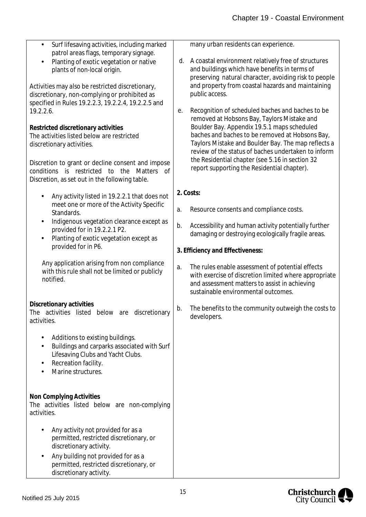| Surf lifesaving activities, including marked<br>$\blacksquare$                                                                                                        | many urban residents can experience.                                                                                                                                                                                                                        |
|-----------------------------------------------------------------------------------------------------------------------------------------------------------------------|-------------------------------------------------------------------------------------------------------------------------------------------------------------------------------------------------------------------------------------------------------------|
| patrol areas flags, temporary signage.<br>Planting of exotic vegetation or native<br>plants of non-local origin.                                                      | A coastal environment relatively free of structures<br>d.<br>and buildings which have benefits in terms of<br>preserving natural character, avoiding risk to people                                                                                         |
| Activities may also be restricted discretionary,<br>discretionary, non-complying or prohibited as<br>specified in Rules 19.2.2.3, 19.2.2.4, 19.2.2.5 and<br>19.2.2.6. | and property from coastal hazards and maintaining<br>public access.<br>Recognition of scheduled baches and baches to be<br>е.                                                                                                                               |
| Restricted discretionary activities<br>The activities listed below are restricted<br>discretionary activities.                                                        | removed at Hobsons Bay, Taylors Mistake and<br>Boulder Bay. Appendix 19.5.1 maps scheduled<br>baches and baches to be removed at Hobsons Bay,<br>Taylors Mistake and Boulder Bay. The map reflects a<br>review of the status of baches undertaken to inform |
| Discretion to grant or decline consent and impose<br>conditions is restricted to the Matters<br>of<br>Discretion, as set out in the following table.                  | the Residential chapter (see 5.16 in section 32<br>report supporting the Residential chapter).                                                                                                                                                              |
| Any activity listed in 19.2.2.1 that does not<br>$\blacksquare$                                                                                                       | 2. Costs:                                                                                                                                                                                                                                                   |
| meet one or more of the Activity Specific<br>Standards.                                                                                                               | Resource consents and compliance costs.<br>a.                                                                                                                                                                                                               |
| Indigenous vegetation clearance except as<br>$\blacksquare$<br>provided for in 19.2.2.1 P2.<br>Planting of exotic vegetation except as                                | Accessibility and human activity potentially further<br>b.<br>damaging or destroying ecologically fragile areas.                                                                                                                                            |
| provided for in P6.                                                                                                                                                   | 3. Efficiency and Effectiveness:                                                                                                                                                                                                                            |
| Any application arising from non compliance<br>with this rule shall not be limited or publicly<br>notified.                                                           | The rules enable assessment of potential effects<br>a.<br>with exercise of discretion limited where appropriate<br>and assessment matters to assist in achieving<br>sustainable environmental outcomes.                                                     |
| Discretionary activities<br>The activities listed below are discretionary<br>activities.                                                                              | The benefits to the community outweigh the costs to<br>b.<br>developers.                                                                                                                                                                                    |
| Additions to existing buildings.<br>Buildings and carparks associated with Surf<br>Lifesaving Clubs and Yacht Clubs.<br>Recreation facility.<br>Marine structures.    |                                                                                                                                                                                                                                                             |
| Non Complying Activities<br>The activities listed below are non-complying<br>activities.                                                                              |                                                                                                                                                                                                                                                             |
| Any activity not provided for as a<br>permitted, restricted discretionary, or<br>discretionary activity.                                                              |                                                                                                                                                                                                                                                             |
| Any building not provided for as a<br>permitted, restricted discretionary, or<br>discretionary activity.                                                              |                                                                                                                                                                                                                                                             |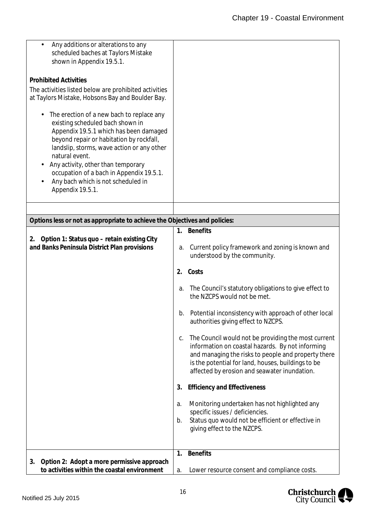| Any additions or alterations to any<br>scheduled baches at Taylors Mistake<br>shown in Appendix 19.5.1.<br><b>Prohibited Activities</b><br>The activities listed below are prohibited activities<br>at Taylors Mistake, Hobsons Bay and Boulder Bay.<br>The erection of a new bach to replace any<br>existing scheduled bach shown in<br>Appendix 19.5.1 which has been damaged<br>beyond repair or habitation by rockfall,<br>landslip, storms, wave action or any other<br>natural event.<br>Any activity, other than temporary<br>occupation of a bach in Appendix 19.5.1.<br>Any bach which is not scheduled in<br>Appendix 19.5.1. |                                                                                                                                                                                                                                                                            |
|-----------------------------------------------------------------------------------------------------------------------------------------------------------------------------------------------------------------------------------------------------------------------------------------------------------------------------------------------------------------------------------------------------------------------------------------------------------------------------------------------------------------------------------------------------------------------------------------------------------------------------------------|----------------------------------------------------------------------------------------------------------------------------------------------------------------------------------------------------------------------------------------------------------------------------|
|                                                                                                                                                                                                                                                                                                                                                                                                                                                                                                                                                                                                                                         |                                                                                                                                                                                                                                                                            |
| Options less or not as appropriate to achieve the Objectives and policies:                                                                                                                                                                                                                                                                                                                                                                                                                                                                                                                                                              |                                                                                                                                                                                                                                                                            |
|                                                                                                                                                                                                                                                                                                                                                                                                                                                                                                                                                                                                                                         | <b>Benefits</b><br>1.                                                                                                                                                                                                                                                      |
| Option 1: Status quo - retain existing City<br>2.<br>and Banks Peninsula District Plan provisions                                                                                                                                                                                                                                                                                                                                                                                                                                                                                                                                       | Current policy framework and zoning is known and<br>a.<br>understood by the community.                                                                                                                                                                                     |
|                                                                                                                                                                                                                                                                                                                                                                                                                                                                                                                                                                                                                                         | Costs<br>2.                                                                                                                                                                                                                                                                |
|                                                                                                                                                                                                                                                                                                                                                                                                                                                                                                                                                                                                                                         | The Council's statutory obligations to give effect to<br>а.<br>the NZCPS would not be met.                                                                                                                                                                                 |
|                                                                                                                                                                                                                                                                                                                                                                                                                                                                                                                                                                                                                                         | b. Potential inconsistency with approach of other local<br>authorities giving effect to NZCPS.                                                                                                                                                                             |
|                                                                                                                                                                                                                                                                                                                                                                                                                                                                                                                                                                                                                                         | The Council would not be providing the most current<br>С.<br>information on coastal hazards. By not informing<br>and managing the risks to people and property there<br>is the potential for land, houses, buildings to be<br>affected by erosion and seawater inundation. |
|                                                                                                                                                                                                                                                                                                                                                                                                                                                                                                                                                                                                                                         | <b>Efficiency and Effectiveness</b><br>3.                                                                                                                                                                                                                                  |
|                                                                                                                                                                                                                                                                                                                                                                                                                                                                                                                                                                                                                                         | Monitoring undertaken has not highlighted any<br>a.<br>specific issues / deficiencies.<br>Status quo would not be efficient or effective in<br>b.<br>giving effect to the NZCPS.                                                                                           |
|                                                                                                                                                                                                                                                                                                                                                                                                                                                                                                                                                                                                                                         | <b>Benefits</b><br>1.                                                                                                                                                                                                                                                      |
| Option 2: Adopt a more permissive approach<br>3.<br>to activities within the coastal environment                                                                                                                                                                                                                                                                                                                                                                                                                                                                                                                                        | Lower resource consent and compliance costs.<br>a.                                                                                                                                                                                                                         |

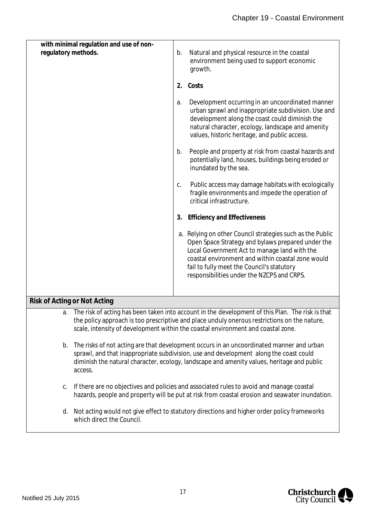| regulatory methods. | with minimal regulation and use of non-                                                                                                                                                                                                                                                    | b. | Natural and physical resource in the coastal                                                                                                                                                                                                                                                                    |
|---------------------|--------------------------------------------------------------------------------------------------------------------------------------------------------------------------------------------------------------------------------------------------------------------------------------------|----|-----------------------------------------------------------------------------------------------------------------------------------------------------------------------------------------------------------------------------------------------------------------------------------------------------------------|
|                     |                                                                                                                                                                                                                                                                                            |    | environment being used to support economic<br>growth.                                                                                                                                                                                                                                                           |
|                     |                                                                                                                                                                                                                                                                                            | 2. | Costs                                                                                                                                                                                                                                                                                                           |
|                     |                                                                                                                                                                                                                                                                                            | a. | Development occurring in an uncoordinated manner<br>urban sprawl and inappropriate subdivision. Use and<br>development along the coast could diminish the<br>natural character, ecology, landscape and amenity<br>values, historic heritage, and public access.                                                 |
|                     |                                                                                                                                                                                                                                                                                            | b. | People and property at risk from coastal hazards and<br>potentially land, houses, buildings being eroded or<br>inundated by the sea.                                                                                                                                                                            |
|                     |                                                                                                                                                                                                                                                                                            | С. | Public access may damage habitats with ecologically<br>fragile environments and impede the operation of<br>critical infrastructure.                                                                                                                                                                             |
|                     |                                                                                                                                                                                                                                                                                            | 3. | <b>Efficiency and Effectiveness</b>                                                                                                                                                                                                                                                                             |
|                     |                                                                                                                                                                                                                                                                                            |    | a. Relying on other Council strategies such as the Public<br>Open Space Strategy and bylaws prepared under the<br>Local Government Act to manage land with the<br>coastal environment and within coastal zone would<br>fail to fully meet the Council's statutory<br>responsibilities under the NZCPS and CRPS. |
|                     | Risk of Acting or Not Acting                                                                                                                                                                                                                                                               |    |                                                                                                                                                                                                                                                                                                                 |
|                     |                                                                                                                                                                                                                                                                                            |    | The risk of acting has been taken into account in the development of this Plan. The risk is that<br>the policy approach is too prescriptive and place unduly onerous restrictions on the nature,<br>scale, intensity of development within the coastal environment and coastal zone.                            |
| b.                  | The risks of not acting are that development occurs in an uncoordinated manner and urban<br>sprawl, and that inappropriate subdivision, use and development along the coast could<br>diminish the natural character, ecology, landscape and amenity values, heritage and public<br>access. |    |                                                                                                                                                                                                                                                                                                                 |
| C.                  | If there are no objectives and policies and associated rules to avoid and manage coastal<br>hazards, people and property will be put at risk from coastal erosion and seawater inundation.                                                                                                 |    |                                                                                                                                                                                                                                                                                                                 |
| d.                  | which direct the Council.                                                                                                                                                                                                                                                                  |    | Not acting would not give effect to statutory directions and higher order policy frameworks                                                                                                                                                                                                                     |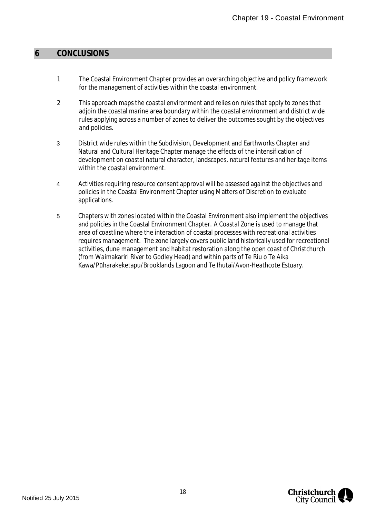#### <span id="page-18-0"></span>**6 CONCLUSIONS**

- 1 The Coastal Environment Chapter provides an overarching objective and policy framework for the management of activities within the coastal environment.
- 2 This approach maps the coastal environment and relies on rules that apply to zones that adjoin the coastal marine area boundary within the coastal environment and district wide rules applying across a number of zones to deliver the outcomes sought by the objectives and policies.
- 3 District wide rules within the Subdivision, Development and Earthworks Chapter and Natural and Cultural Heritage Chapter manage the effects of the intensification of development on coastal natural character, landscapes, natural features and heritage items within the coastal environment.
- 4 Activities requiring resource consent approval will be assessed against the objectives and policies in the Coastal Environment Chapter using Matters of Discretion to evaluate applications.
- 5 Chapters with zones located within the Coastal Environment also implement the objectives and policies in the Coastal Environment Chapter. A Coastal Zone is used to manage that area of coastline where the interaction of coastal processes with recreational activities requires management. The zone largely covers public land historically used for recreational activities, dune management and habitat restoration along the open coast of Christchurch (from Waimakariri River to Godley Head) and within parts of Te Riu o Te Aika Kawa/Pūharakeketapu/Brooklands Lagoon and Te Ihutai/Avon-Heathcote Estuary.

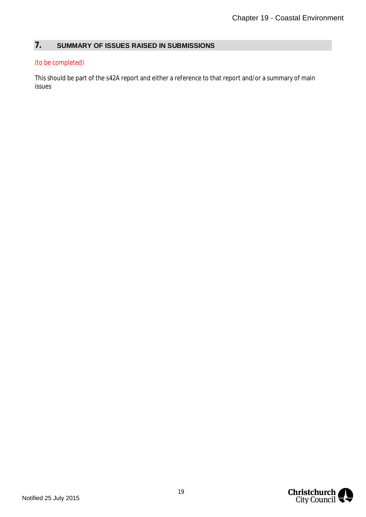# <span id="page-19-0"></span>**7. SUMMARY OF ISSUES RAISED IN SUBMISSIONS**

#### (to be completed)

This should be part of the s42A report and either a reference to that report and/or a summary of main issues

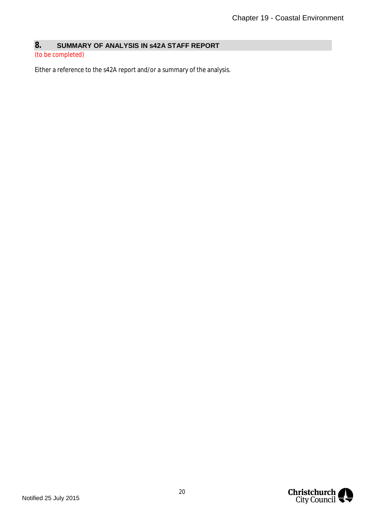# <span id="page-20-0"></span>**8. SUMMARY OF ANALYSIS IN s42A STAFF REPORT**

#### (to be completed)

Either a reference to the s42A report and/or a summary of the analysis.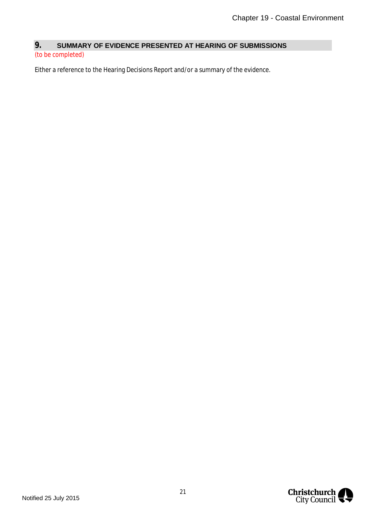# <span id="page-21-0"></span>**9. SUMMARY OF EVIDENCE PRESENTED AT HEARING OF SUBMISSIONS**

#### (to be completed)

Either a reference to the Hearing Decisions Report and/or a summary of the evidence.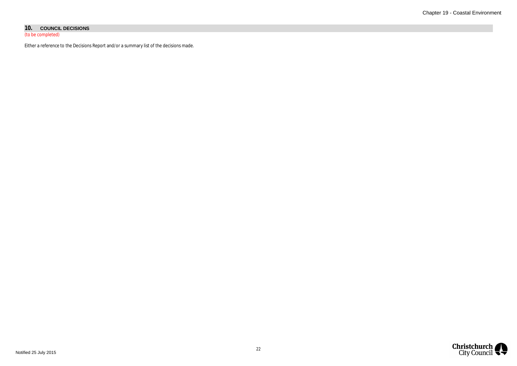#### **10. COUNCIL DECISIONS**

(to be completed)

Either a reference to the Decisions Report and/or a summary list of the decisions made.

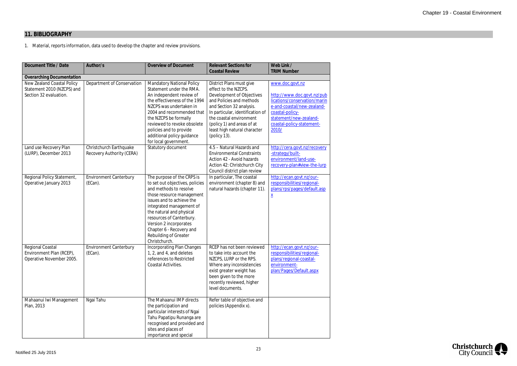# **11. BIBLIOGRAPHY**

1. Material, reports information, data used to develop the chapter and review provisions.

| Document Title / Date                                                              | Author/s                                             | <b>Overview of Document</b>                                                                                                                                                                                                                                                                                                                  | <b>Relevant Sections for</b>                                                                                                                                                                                                       | Web Link /                                                                                                                                                                            |
|------------------------------------------------------------------------------------|------------------------------------------------------|----------------------------------------------------------------------------------------------------------------------------------------------------------------------------------------------------------------------------------------------------------------------------------------------------------------------------------------------|------------------------------------------------------------------------------------------------------------------------------------------------------------------------------------------------------------------------------------|---------------------------------------------------------------------------------------------------------------------------------------------------------------------------------------|
|                                                                                    |                                                      |                                                                                                                                                                                                                                                                                                                                              | <b>Coastal Review</b>                                                                                                                                                                                                              | <b>TRIM Number</b>                                                                                                                                                                    |
| <b>Overarching Documentation</b>                                                   |                                                      |                                                                                                                                                                                                                                                                                                                                              |                                                                                                                                                                                                                                    |                                                                                                                                                                                       |
| New Zealand Coastal Policy<br>Statement 2010 (NZCPS) and<br>Section 32 evaluation. | Department of Conservation                           | <b>Mandatory National Policy</b><br>Statement under the RMA.<br>An independent review of<br>the effectiveness of the 1994<br>NZCPS was undertaken in<br>2004 and recommended that<br>the NZCPS be formally<br>reviewed to revoke obsolete                                                                                                    | District Plans must give<br>effect to the NZCPS.<br>Development of Objectives<br>and Policies and methods<br>and Section 32 analysis.<br>In particular, identification of<br>the coastal environment<br>(policy 1) and areas of at | www.doc.govt.nz<br>http://www.doc.govt.nz/pub<br>lications/conservation/marin<br>e-and-coastal/new-zealand-<br>coastal-policy-<br>statement/new-zealand-<br>coastal-policy-statement- |
|                                                                                    |                                                      | policies and to provide<br>additional policy guidance<br>for local government.                                                                                                                                                                                                                                                               | least high natural character<br>(policy 13).                                                                                                                                                                                       | 2010/                                                                                                                                                                                 |
| Land use Recovery Plan<br>(LURP), December 2013                                    | Christchurch Earthquake<br>Recovery Authority (CERA) | Statutory document                                                                                                                                                                                                                                                                                                                           | 4.5 - Natural Hazards and<br><b>Environmental Constraints</b><br>Action 42 - Avoid hazards<br>Action 42: Christchurch City<br>Council district plan review                                                                         | http://cera.govt.nz/recovery<br>-strategy/built-<br>environment/land-use-<br>recovery-plan#view-the-lurp                                                                              |
| Regional Policy Statement,<br>Operative January 2013                               | <b>Environment Canterbury</b><br>(ECan).             | The purpose of the CRPS is<br>to set out objectives, policies<br>and methods to resolve<br>those resource management<br>issues and to achieve the<br>integrated management of<br>the natural and physical<br>resources of Canterbury.<br>Version 2 incorporates<br>Chapter 6 - Recovery and<br><b>Rebuilding of Greater</b><br>Christchurch. | In particular, The coastal<br>environment (chapter 8) and<br>natural hazards (chapter 11).                                                                                                                                         | http://ecan.govt.nz/our-<br>responsibilities/regional-<br>plans/rps/pages/default.asp<br>$\underline{x}$                                                                              |
| Regional Coastal<br>Environment Plan (RCEP),<br>Operative November 2005.           | <b>Environment Canterbury</b><br>$(ECan)$ .          | <b>Incorporating Plan Changes</b><br>1, 2, and 4, and deletes<br>references to Restricted<br>Coastal Activities.                                                                                                                                                                                                                             | RCEP has not been reviewed<br>to take into account the<br>NZCPS, LURP or the RPS.<br>Where any inconsistencies<br>exist greater weight has<br>been given to the more<br>recently reviewed, higher<br>level documents.              | http://ecan.govt.nz/our-<br>responsibilities/regional-<br>plans/regional-coastal-<br>environment-<br>plan/Pages/Default.aspx                                                          |
| Mahaanui Iwi Management<br>Plan, 2013                                              | Ngai Tahu                                            | The Mahaanui IMP directs<br>the participation and<br>particular interests of Ngai<br>Tahu Papatipu Runanga are<br>recognised and provided and<br>sites and places of<br>importance and special                                                                                                                                               | Refer table of objective and<br>policies (Appendix x).                                                                                                                                                                             |                                                                                                                                                                                       |

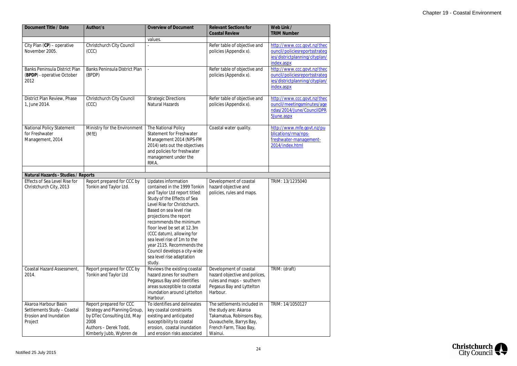| Document Title / Date                                                                                  | Author/s                                                                                                                                            | Overview of Document                                                                                                                                                                                                                                                                                                                                                                                                              | <b>Relevant Sections for</b><br><b>Coastal Review</b>                                                                                               | Web Link /<br><b>TRIM Number</b>                                                                             |
|--------------------------------------------------------------------------------------------------------|-----------------------------------------------------------------------------------------------------------------------------------------------------|-----------------------------------------------------------------------------------------------------------------------------------------------------------------------------------------------------------------------------------------------------------------------------------------------------------------------------------------------------------------------------------------------------------------------------------|-----------------------------------------------------------------------------------------------------------------------------------------------------|--------------------------------------------------------------------------------------------------------------|
|                                                                                                        |                                                                                                                                                     | values.                                                                                                                                                                                                                                                                                                                                                                                                                           |                                                                                                                                                     |                                                                                                              |
| City Plan (CP) - operative<br>November 2005.                                                           | Christchurch City Council<br>(CCC)                                                                                                                  |                                                                                                                                                                                                                                                                                                                                                                                                                                   | Refer table of objective and<br>policies (Appendix x).                                                                                              | http://www.ccc.govt.nz/thec<br>ouncil/policiesreportsstrateq<br>ies/districtplanning/cityplan/<br>index.aspx |
| <b>Banks Peninsula District Plan</b><br>(BPDP) - operative October<br>2012                             | Banks Peninsula District Plan<br>(BPDP)                                                                                                             |                                                                                                                                                                                                                                                                                                                                                                                                                                   | Refer table of objective and<br>policies (Appendix x).                                                                                              | http://www.ccc.govt.nz/thec<br>ouncil/policiesreportsstrateq<br>ies/districtplanning/cityplan/<br>index.aspx |
| District Plan Review, Phase<br>1, June 2014.                                                           | Christchurch City Council<br>(CC)                                                                                                                   | <b>Strategic Directions</b><br>Natural Hazards                                                                                                                                                                                                                                                                                                                                                                                    | Refer table of objective and<br>policies (Appendix x).                                                                                              | http://www.ccc.govt.nz/thec<br>ouncil/meetingsminutes/age<br>ndas/2014/June/CouncilDPR<br>5June.aspx         |
| <b>National Policy Statement</b><br>for Freshwater<br>Management, 2014                                 | Ministry for the Environment<br>(MfE)                                                                                                               | The National Policy<br><b>Statement for Freshwater</b><br>Management 2014 (NPS-FM<br>2014) sets out the objectives<br>and policies for freshwater<br>management under the<br>RMA.                                                                                                                                                                                                                                                 | Coastal water quality.                                                                                                                              | http://www.mfe.govt.nz/pu<br>blications/rma/nps-<br>freshwater-management-<br>2014/index.html                |
|                                                                                                        |                                                                                                                                                     |                                                                                                                                                                                                                                                                                                                                                                                                                                   |                                                                                                                                                     |                                                                                                              |
| Natural Hazards - Studies / Reports<br><b>Effects of Sea Level Rise for</b><br>Christchurch City, 2013 | Report prepared for CCC by<br>Tonkin and Taylor Ltd.                                                                                                | Updates information<br>contained in the 1999 Tonkin<br>and Taylor Ltd report titled:<br>Study of the Effects of Sea<br>Level Rise for Christchurch.<br>Based on sea level rise<br>projections the report<br>recommends the minimum<br>floor level be set at 12.3m<br>(CCC datum), allowing for<br>sea level rise of 1m to the<br>year 2115. Recommends the<br>Council develops a city-wide<br>sea level rise adaptation<br>study. | Development of coastal<br>hazard objective and<br>policies, rules and maps.                                                                         | TRIM: 13/1235040                                                                                             |
| Coastal Hazard Assessment,<br>2014.                                                                    | Report prepared for CCC by<br>Tonkin and Taylor Ltd                                                                                                 | Reviews the existing coastal<br>hazard zones for southern<br>Pegasus Bay and identifies<br>areas susceptible to coastal<br>inundation around Lyttelton<br>Harbour.                                                                                                                                                                                                                                                                | Development of coastal<br>hazard objective and polices,<br>rules and maps - southern<br>Pegasus Bay and Lyttelton<br>Harbour.                       | TRIM: (draft)                                                                                                |
| Akaroa Harbour Basin<br>Settlements Study - Coastal<br>Erosion and Inundation<br>Project               | Report prepared for CCC<br>Strategy and Planning Group,<br>by DTec Consulting Ltd, May<br>2008<br>Authors - Derek Todd,<br>Kimberly Jubb, Wybren de | To identifies and delineates<br>key coastal constraints<br>existing and anticipated<br>susceptibility to coastal<br>erosion, coastal inundation<br>and erosion risks associated                                                                                                                                                                                                                                                   | The settlements included in<br>the study are: Akaroa<br>Takamatua, Robinsons Bay,<br>Duvauchelle, Barrys Bay,<br>French Farm, Tikao Bay,<br>Wainui. | TRIM: 14/1050127                                                                                             |

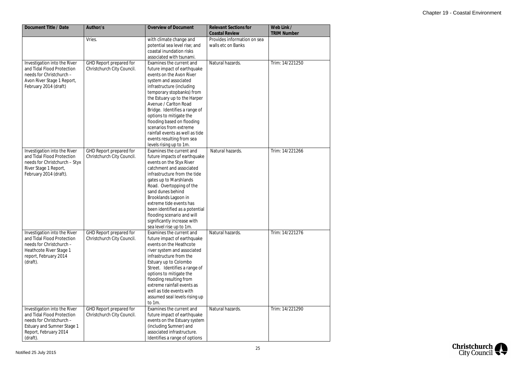| Document Title / Date                                                                                                                                            | Author/s                                              | <b>Overview of Document</b>                                                                                                                                                                                                                                                                                                                                                                                                                    | <b>Relevant Sections for</b><br><b>Coastal Review</b> | Web Link /<br><b>TRIM Number</b> |
|------------------------------------------------------------------------------------------------------------------------------------------------------------------|-------------------------------------------------------|------------------------------------------------------------------------------------------------------------------------------------------------------------------------------------------------------------------------------------------------------------------------------------------------------------------------------------------------------------------------------------------------------------------------------------------------|-------------------------------------------------------|----------------------------------|
|                                                                                                                                                                  | Vries.                                                | with climate change and<br>potential sea level rise; and<br>coastal inundation risks<br>associated with tsunami.                                                                                                                                                                                                                                                                                                                               | Provides information on sea<br>walls etc on Banks     |                                  |
| Investigation into the River<br>and Tidal Flood Protection<br>needs for Christchurch -<br>Avon River Stage 1 Report,<br>February 2014 (draft)                    | GHD Report prepared for<br>Christchurch City Council. | Examines the current and<br>future impact of earthquake<br>events on the Avon River<br>system and associated<br>infrastructure (including<br>temporary stopbanks) from<br>the Estuary up to the Harper<br>Avenue / Carlton Road<br>Bridge. Identifies a range of<br>options to mitigate the<br>flooding based on flooding<br>scenarios from extreme<br>rainfall events as well as tide<br>events resulting from sea<br>levels rising up to 1m. | Natural hazards.                                      | Trim: 14/221250                  |
| Investigation into the River<br>and Tidal Flood Protection<br>needs for Christchurch - Styx<br>River Stage 1 Report,<br>February 2014 (draft).                   | GHD Report prepared for<br>Christchurch City Council. | Examines the current and<br>future impacts of earthquake<br>events on the Styx River<br>catchment and associated<br>infrastructure from the tide<br>gates up to Marshlands<br>Road. Overtopping of the<br>sand dunes behind<br>Brooklands Lagoon in<br>extreme tide events has<br>been identified as a potential<br>flooding scenario and will<br>significantly increase with<br>sea level rise up to 1m.                                      | Natural hazards.                                      | Trim: 14/221266                  |
| Investigation into the River<br>and Tidal Flood Protection<br>needs for Christchurch -<br>Heathcote River Stage 1<br>report, February 2014<br>(draft).           | GHD Report prepared for<br>Christchurch City Council. | Examines the current and<br>future impact of earthquake<br>events on the Heathcote<br>river system and associated<br>infrastructure from the<br>Estuary up to Colombo<br>Street. Identifies a range of<br>options to mitigate the<br>flooding resulting from<br>extreme rainfall events as<br>well as tide events with<br>assumed seal levels rising up<br>to 1m.                                                                              | Natural hazards.                                      | Trim: 14/221276                  |
| Investigation into the River<br>and Tidal Flood Protection<br>needs for Christchurch -<br><b>Estuary and Sumner Stage 1</b><br>Report, February 2014<br>(draft). | GHD Report prepared for<br>Christchurch City Council. | Examines the current and<br>future impact of earthquake<br>events on the Estuary system<br>(including Sumner) and<br>associated infrastructure.<br>Identifies a range of options                                                                                                                                                                                                                                                               | Natural hazards.                                      | Trim: 14/221290                  |

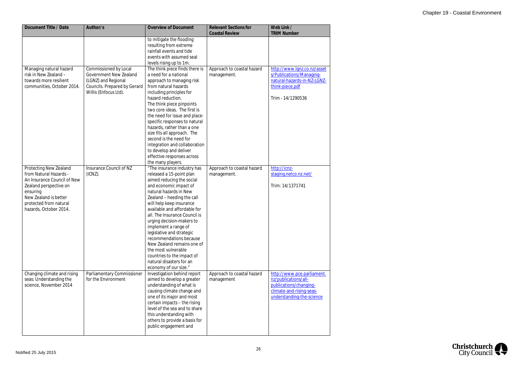| Document Title / Date                                                                                                                                                                              | Author/s                                                                                                                               | <b>Overview of Document</b>                                                                                                                                                                                                                                                                                                                                                                                                                                                                                              | <b>Relevant Sections for</b><br><b>Coastal Review</b> | Web Link /<br><b>TRIM Number</b>                                                                                                      |
|----------------------------------------------------------------------------------------------------------------------------------------------------------------------------------------------------|----------------------------------------------------------------------------------------------------------------------------------------|--------------------------------------------------------------------------------------------------------------------------------------------------------------------------------------------------------------------------------------------------------------------------------------------------------------------------------------------------------------------------------------------------------------------------------------------------------------------------------------------------------------------------|-------------------------------------------------------|---------------------------------------------------------------------------------------------------------------------------------------|
|                                                                                                                                                                                                    |                                                                                                                                        | to mitigate the flooding<br>resulting from extreme<br>rainfall events and tide<br>events with assumed seal<br>levels rising up to 1m.                                                                                                                                                                                                                                                                                                                                                                                    |                                                       |                                                                                                                                       |
| Managing natural hazard<br>risk in New Zealand -<br>towards more resilient<br>communities, October 2014.                                                                                           | Commissioned by Local<br><b>Government New Zealand</b><br>(LGNZ) and Regional<br>Councils. Prepared by Gerard<br>Willis (Enfocus Ltd). | The think piece finds there is<br>a need for a national<br>approach to managing risk<br>from natural hazards<br>including principles for<br>hazard reduction.<br>The think piece pinpoints<br>two core ideas. The first is<br>the need for issue and place-<br>specific responses to natural<br>hazards, rather than a one<br>size fits all approach. The<br>second is the need for<br>integration and collaboration<br>to develop and deliver<br>effective responses across<br>the many players.                        | Approach to coastal hazard<br>management.             | http://www.lgnz.co.nz/asset<br>s/Publications/Managing-<br>natural-hazards-in-NZ-LGNZ-<br>think-piece.pdf<br>Trim - 14/1290536        |
| Protecting New Zealand<br>from Natural Hazards -<br>An Insurance Council of New<br>Zealand perspective on<br>ensuring<br>New Zealand is better<br>protected from natural<br>hazards, October 2014. | Insurance Council of NZ<br>(ICNZ).                                                                                                     | "The insurance industry has<br>released a 15-point plan<br>aimed reducing the social<br>and economic impact of<br>natural hazards in New<br>Zealand - heeding the call<br>will help keep insurance<br>available and affordable for<br>all. The Insurance Council is<br>urging decision-makers to<br>implement a range of<br>legislative and strategic<br>recommendations because<br>New Zealand remains one of<br>the most vulnerable<br>countries to the impact of<br>natural disasters for an<br>economy of our size." | Approach to coastal hazard<br>management.             | http://icnz-<br>staging.netco.nz.net/<br>Trim: 14/1371741                                                                             |
| Changing climate and rising<br>seas: Understanding the<br>science, November 2014                                                                                                                   | Parliamentary Commissioner<br>for the Environment                                                                                      | Investigation behind report<br>aimed to develop a greater<br>understanding of what is<br>causing climate change and<br>one of its major and most<br>certain impacts - the rising<br>level of the sea and to share<br>this understanding with<br>others to provide a basis for<br>public engagement and                                                                                                                                                                                                                   | Approach to coastal hazard<br>management              | http://www.pce.parliament.<br>nz/publications/all-<br>publications/changing-<br>climate-and-rising-seas-<br>understanding-the-science |

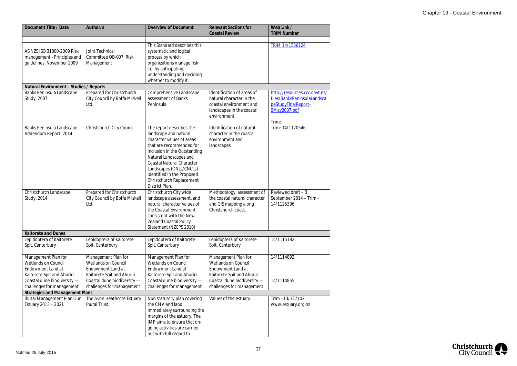| Document Title / Date                                                                                        | Author/s                                                                                              | <b>Overview of Document</b>                                                                                                                                                                                                                                                                                     | <b>Relevant Sections for</b>                                                                                                   | Web Link /                                                                                                   |
|--------------------------------------------------------------------------------------------------------------|-------------------------------------------------------------------------------------------------------|-----------------------------------------------------------------------------------------------------------------------------------------------------------------------------------------------------------------------------------------------------------------------------------------------------------------|--------------------------------------------------------------------------------------------------------------------------------|--------------------------------------------------------------------------------------------------------------|
|                                                                                                              |                                                                                                       |                                                                                                                                                                                                                                                                                                                 | <b>Coastal Review</b>                                                                                                          | <b>TRIM Number</b>                                                                                           |
| AS NZS ISO 31000-2009 Risk<br>management - Principles and<br>quidelines, November 2009                       | <b>Joint Technical</b><br>Committee OB-007, Risk<br>Management                                        | This Standard describes this<br>systematic and logical<br>process by which<br>organizations manage risk<br>i.e. by anticipating,<br>understanding and deciding<br>whether to modify it.                                                                                                                         |                                                                                                                                | TRIM 14/1536124                                                                                              |
| Natural Environment - Studies / Reports                                                                      |                                                                                                       |                                                                                                                                                                                                                                                                                                                 |                                                                                                                                |                                                                                                              |
| Banks Peninsula Landscape<br>Study, 2007                                                                     | Prepared for Christchurch<br>City Council by Boffa Miskell<br>Ltd.                                    | Comprehensive Landscape<br>assessment of Banks<br>Peninsula.                                                                                                                                                                                                                                                    | Identification of areas of<br>natural character in the<br>coastal environment and<br>landscapes in the coastal<br>environment. | http://resources.ccc.govt.nz/<br>files/BanksPeninsulaLandsca<br>peStudyFinalReport-<br>9May2007.pdf<br>Trim: |
| Banks Peninsula Landscape<br>Addendum Report, 2014                                                           | Christchurch City Council                                                                             | The report describes the<br>landscape and natural<br>character values of areas<br>that are recommended for<br>inclusion in the Outstanding<br>Natural Landscapes and<br><b>Coastal Natural Character</b><br>Landscapes (ONLs/CNCLs)<br>identified in the Proposed<br>Christchurch Replacement<br>District Plan. | Identification of natural<br>character in the coastal<br>environment and<br>landscapes.                                        | Trim: 14/1170546                                                                                             |
| Christchurch Landscape<br>Study, 2014                                                                        | Prepared for Christchurch<br>City Council by Boffa Miskell<br>Ltd.                                    | Christchurch City wide<br>landscape assessment, and<br>natural character values of<br>the Coastal Environment<br>consistent with the New<br>Zealand Coastal Policy<br>Statement (NZCPS 2010)                                                                                                                    | Methodology, assessment of<br>the coastal natural character<br>and GIS mapping along<br>Christchurch coast.                    | Reviewed draft $-3$<br>September 2014 - Trim -<br>14/1125396                                                 |
| <b>Kaitorete and Dunes</b>                                                                                   |                                                                                                       |                                                                                                                                                                                                                                                                                                                 |                                                                                                                                |                                                                                                              |
| Lepidoptera of Kaitorete<br>Spit, Canterbury                                                                 | Lepidoptera of Kaitorete<br>Spit, Canterbury                                                          | Lepidoptera of Kaitorete<br>Spit, Canterbury                                                                                                                                                                                                                                                                    | Lepidoptera of Kaitorete<br>Spit, Canterbury                                                                                   | 14/1115182.                                                                                                  |
| Management Plan for<br><b>Wetlands on Council</b><br><b>Endowment Land at</b><br>Kaitorete Spit and Ahuriri. | Management Plan for<br><b>Wetlands on Council</b><br>Endowment Land at<br>Kaitorete Spit and Ahuriri. | Management Plan for<br><b>Wetlands on Council</b><br><b>Endowment Land at</b><br>Kaitorete Spit and Ahuriri.                                                                                                                                                                                                    | Management Plan for<br><b>Wetlands on Council</b><br><b>Endowment Land at</b><br>Kaitorete Spit and Ahuriri.                   | 14/1114892                                                                                                   |
| Coastal dune biodiversity -                                                                                  | Coastal dune biodiversity -                                                                           | Coastal dune biodiversity -                                                                                                                                                                                                                                                                                     | Coastal dune biodiversity -                                                                                                    | 14/1114855                                                                                                   |
| challenges for management<br><b>Strategies and Management Plans</b>                                          | challenges for management                                                                             | challenges for management                                                                                                                                                                                                                                                                                       | challenges for management                                                                                                      |                                                                                                              |
| Ihutai Management Plan Our                                                                                   | The Avon Heathcote Estuary                                                                            | Non statutory plan covering                                                                                                                                                                                                                                                                                     | Values of the estuary.                                                                                                         | Trim - 13/327102                                                                                             |
| Estuary 2013 - 2021                                                                                          | Ihutai Trust.                                                                                         | the CMA and land<br>immediately surrounding the<br>margins of the estuary. The<br>IMP aims to ensure that on-<br>going activities are carried<br>out with full regard to                                                                                                                                        |                                                                                                                                | www.estuary.org.nz                                                                                           |

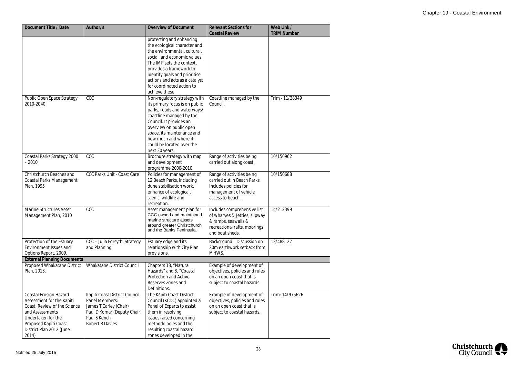| Document Title / Date                                                                                                                                                                             | Author/s                                                                                                                                    | <b>Overview of Document</b>                                                                                                                                                                                                                                                                        | <b>Relevant Sections for</b><br><b>Coastal Review</b>                                                                                  | Web Link /<br><b>TRIM Number</b> |
|---------------------------------------------------------------------------------------------------------------------------------------------------------------------------------------------------|---------------------------------------------------------------------------------------------------------------------------------------------|----------------------------------------------------------------------------------------------------------------------------------------------------------------------------------------------------------------------------------------------------------------------------------------------------|----------------------------------------------------------------------------------------------------------------------------------------|----------------------------------|
|                                                                                                                                                                                                   |                                                                                                                                             | protecting and enhancing<br>the ecological character and<br>the environmental, cultural,<br>social, and economic values.<br>The IMP sets the context,<br>provides a framework to<br>identify goals and prioritise<br>actions and acts as a catalyst<br>for coordinated action to<br>achieve these. |                                                                                                                                        |                                  |
| Public Open Space Strategy<br>2010-2040                                                                                                                                                           | CCC                                                                                                                                         | Non-regulatory strategy with<br>its primary focus is on public<br>parks, roads and waterways/<br>coastline managed by the<br>Council. It provides an<br>overview on public open<br>space, its maintenance and<br>how much and where it<br>could be located over the<br>next 30 years.              | Coastline managed by the<br>Council.                                                                                                   | Trim - 11/38349                  |
| Coastal Parks Strategy 2000<br>$-2010$                                                                                                                                                            | CCC                                                                                                                                         | Brochure strategy with map<br>and development<br>programme 2000-2010                                                                                                                                                                                                                               | Range of activities being<br>carried out along coast.                                                                                  | 10/150962                        |
| Christchurch Beaches and<br><b>Coastal Parks Management</b><br>Plan, 1995                                                                                                                         | <b>CCC Parks Unit - Coast Care</b>                                                                                                          | Policies for management of<br>12 Beach Parks, including<br>dune stabilisation work,<br>enhance of ecological,<br>scenic, wildlife and<br>recreation.                                                                                                                                               | Range of activities being<br>carried out in Beach Parks.<br>Includes policies for<br>management of vehicle<br>access to beach.         | 10/150688                        |
| <b>Marine Structures Asset</b><br>Management Plan, 2010                                                                                                                                           | CCC                                                                                                                                         | Asset management plan for<br>CCC owned and maintained<br>marine structure assets<br>around greater Christchurch<br>and the Banks Peninsula.                                                                                                                                                        | Includes comprehensive list<br>of wharves & Jetties, slipway<br>& ramps, seawalls &<br>recreational rafts, moorings<br>and boat sheds. | 14/212399                        |
| Protection of the Estuary<br>Environment Issues and<br>Options Report, 2009.                                                                                                                      | CCC - Julia Forsyth, Strategy<br>and Planning                                                                                               | Estuary edge and its<br>relationship with City Plan<br>provisions.                                                                                                                                                                                                                                 | Background. Discussion on<br>20m earthwork setback from<br>MHWS.                                                                       | 13/488127                        |
| <b>External Planning Documents</b><br>Proposed Whakatane District                                                                                                                                 | <b>Whakatane District Council</b>                                                                                                           | Chapters 18, "Natural                                                                                                                                                                                                                                                                              | Example of development of                                                                                                              |                                  |
| Plan, 2013.                                                                                                                                                                                       |                                                                                                                                             | Hazards" and 8, "Coastal<br><b>Protection and Active</b><br>Reserves Zones and<br>Definitions.                                                                                                                                                                                                     | objectives, policies and rules<br>on an open coast that is<br>subject to coastal hazards.                                              |                                  |
| <b>Coastal Erosion Hazard</b><br>Assessment for the Kapiti<br>Coast: Review of the Science<br>and Assessments<br>Undertaken for the<br>Proposed Kapiti Coast<br>District Plan 2012 (June<br>2014) | Kapiti Coast District Council<br>Panel Members:<br>James T Carley (Chair)<br>Paul D Komar (Deputy Chair)<br>Paul S Kench<br>Robert B Davies | The Kāpiti Coast District<br>Council (KCDC) appointed a<br>Panel of Experts to assist<br>them in resolving<br>issues raised concerning<br>methodologies and the<br>resulting coastal hazard<br>zones developed in the                                                                              | Example of development of<br>objectives, policies and rules<br>on an open coast that is<br>subject to coastal hazards.                 | Trim: 14/975626                  |

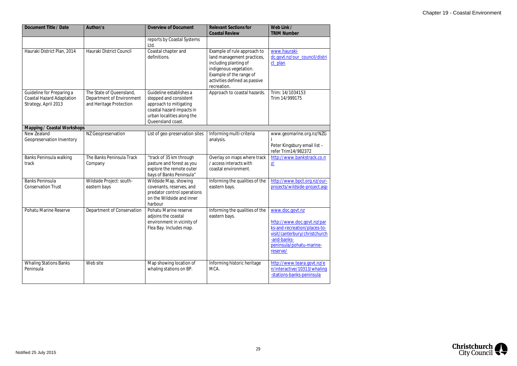| Document Title / Date                                                                 | Author/s                                                                         | <b>Overview of Document</b>                                                                                                                                 | <b>Relevant Sections for</b><br><b>Coastal Review</b>                                                                                                                                   | Web Link /<br><b>TRIM Number</b>                                                                                                                                      |
|---------------------------------------------------------------------------------------|----------------------------------------------------------------------------------|-------------------------------------------------------------------------------------------------------------------------------------------------------------|-----------------------------------------------------------------------------------------------------------------------------------------------------------------------------------------|-----------------------------------------------------------------------------------------------------------------------------------------------------------------------|
|                                                                                       |                                                                                  | reports by Coastal Systems<br>Ltd.                                                                                                                          |                                                                                                                                                                                         |                                                                                                                                                                       |
| Hauraki District Plan, 2014                                                           | Hauraki District Council                                                         | Coastal chapter and<br>definitions.                                                                                                                         | Example of rule approach to<br>land management practices,<br>including planting of<br>indigenous vegetation.<br>Example of the range of<br>activities defined as passive<br>recreation. | www.hauraki-<br>dc.govt.nz/our_council/distri<br>ct_plan                                                                                                              |
| Guideline for Preparing a<br><b>Coastal Hazard Adaptation</b><br>Strategy, April 2013 | The State of Queensland,<br>Department of Environment<br>and Heritage Protection | Guideline establishes a<br>stepped and consistent<br>approach to mitigating<br>coastal hazard impacts in<br>urban localities along the<br>Queensland coast. | Approach to coastal hazards.                                                                                                                                                            | Trim: 14/1034153<br>Trim 14/999175                                                                                                                                    |
| Mapping / Coastal Workshops                                                           |                                                                                  |                                                                                                                                                             |                                                                                                                                                                                         |                                                                                                                                                                       |
| New Zealand<br>Geopreservation Inventory                                              | NZ Geopreservation                                                               | List of geo-preservation sites                                                                                                                              | Informing multi-criteria<br>analysis.                                                                                                                                                   | www.geomarine.org.nz/NZG<br>Peter Kingsbury email list -<br>refer Trim14/982372                                                                                       |
| Banks Peninsula walking<br>track                                                      | The Banks Peninsula Track<br>Company                                             | "track of 35 km through<br>pasture and forest as you<br>explore the remote outer<br>bays of Banks Peninsula"                                                | Overlay on maps where track<br>/ access interacts with<br>coastal environment.                                                                                                          | http://www.bankstrack.co.n<br>$\underline{\mathbf{Z}}$                                                                                                                |
| <b>Banks Peninsula</b><br><b>Conservation Trust</b>                                   | Wildside Project: south-<br>eastern bays                                         | Wildside Map, showing<br>covenants, reserves, and<br>predator control operations<br>on the Wildside and inner<br>harbour                                    | Informing the qualities of the<br>eastern bays.                                                                                                                                         | http://www.bpct.org.nz/our-<br>projects/wildside-project.asp                                                                                                          |
| <b>Pohatu Marine Reserve</b>                                                          | Department of Conservation                                                       | Pohatu Marine reserve<br>adjoins the coastal<br>environment in vicinity of<br>Flea Bay. Includes map.                                                       | Informing the qualities of the<br>eastern bays.                                                                                                                                         | www.doc.govt.nz<br>http://www.doc.govt.nz/par<br>ks-and-recreation/places-to-<br>visit/canterbury/christchurch<br>-and-banks-<br>peninsula/pohatu-marine-<br>reserve/ |
| <b>Whaling Stations Banks</b><br>Peninsula                                            | Web site                                                                         | Map showing location of<br>whaling stations on BP.                                                                                                          | Informing historic heritage<br>MCA.                                                                                                                                                     | http://www.teara.govt.nz/e<br>n/interactive/10313/whaling<br>-stations-banks-peninsula                                                                                |

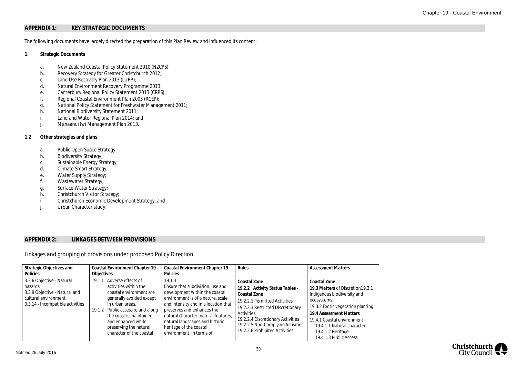# **APPENDIX 1: KEY STRATEGIC DOCUMENTS**

The following documents have largely directed the preparation of this Plan Review and influenced its content:

- **1. Strategic Documents**
	- a. New Zealand Coastal Policy Statement 2010 (NZCPS);
	- b. Recovery Strategy for Greater Christchurch 2012;
	- c. Land Use Recovery Plan 2013 (LURP);
	- d. Natural Environment Recovery Programme 2013;
	- e. Canterbury Regional Policy Statement 2013 (CRPS);
	- f. Regional Coastal Environment Plan 2005 (RCEP);
	- g. National Policy Statement for Freshwater Management 2011;
	- h. National Biodiversity Statement 2011;
	- i. Land and Water Regional Plan 2014; and
	- j. Mahaanui Iwi Management Plan 2013.
- **1.2 Other strategies and plans**
	- a. Public Open Space Strategy;
	- b. Biodiversity Strategy;
	- c. Sustainable Energy Strategy;
	- d. Climate Smart Strategy;
	- e. Water Supply Strategy;
	- f. Wastewater Strategy;
	- g. Surface Water Strategy;
	- h. Christchurch Visitor Strategy;
	- i. Christchurch Economic Development Strategy; and
	- j. Urban Character study.

## **APPENDIX 2: LINKAGES BETWEEN PROVISIONS**

# Linkages and grouping of provisions under proposed Policy Direction

| Strategic Objectives and<br>Policies                                                                                              | Coastal Environment Chapter 19 -<br>Objectives                                                                                                                                                                                                                           | <b>Coastal Environment Chapter 19-</b><br>Policies                                                                                                                                                                                                                                                                         | Rules                                                                                                                                                                                                                                                           | <b>Assessment Matters</b>                                                                                                                                                                                                                                                 |
|-----------------------------------------------------------------------------------------------------------------------------------|--------------------------------------------------------------------------------------------------------------------------------------------------------------------------------------------------------------------------------------------------------------------------|----------------------------------------------------------------------------------------------------------------------------------------------------------------------------------------------------------------------------------------------------------------------------------------------------------------------------|-----------------------------------------------------------------------------------------------------------------------------------------------------------------------------------------------------------------------------------------------------------------|---------------------------------------------------------------------------------------------------------------------------------------------------------------------------------------------------------------------------------------------------------------------------|
| 3.3.6 Objective - Natural<br>hazards<br>3.3.9 Objective - Natural and<br>cultural environment<br>3.3.14 - Incompatible activities | 19.1.1 Adverse effects of<br>activities within the<br>coastal environment are<br>generally avoided except<br>in urban areas.<br>19.1.2 Public access to and along<br>the coast is maintained<br>and enhanced while<br>preserving the natural<br>character of the coastal | 19.1.3<br>Ensure that subdivision, use and<br>development within the coastal<br>environment is of a nature, scale<br>and intensity and in a location that<br>preserves and enhances the<br>natural character, natural features,<br>natural landscapes and historic<br>heritage of the coastal<br>environment, in terms of: | Coastal Zone<br>19.2.2 Activity Status Tables -<br>Coastal Zone<br>19.2.2.1 Permitted Activities<br>19.2.2.3 Restricted Discretionary<br>Activities<br>19.2.2.4 Discretionary Activities<br>19.2.2.5 Non-Complying Activities<br>19.2.2.6 Prohibited Activities | Coastal Zone<br>19.3 Matters of Discretion 19.3.1<br>Indigenous biodiversity and<br>ecosystems<br>19.3.2 Exotic vegetation planting<br>19.4 Assessment Matters<br>19.4.1 Coastal environment<br>19.4.1.1 Natural character<br>19.4.1.2 Heritage<br>19.4.1.3 Public Access |